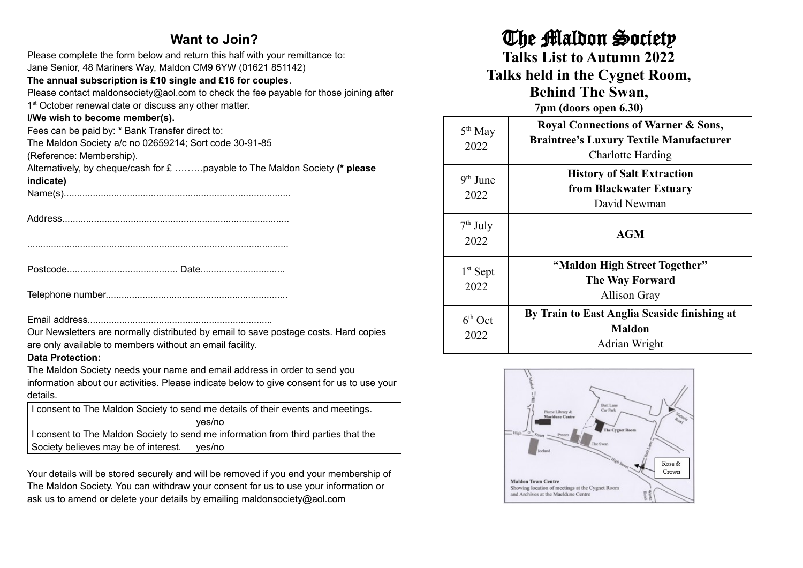#### **Want to Join?**

| Please complete the form below and return this half with your remittance to:<br>Jane Senior, 48 Mariners Way, Maldon CM9 6YW (01621 851142)<br>The annual subscription is £10 single and £16 for couples. |  |  |
|-----------------------------------------------------------------------------------------------------------------------------------------------------------------------------------------------------------|--|--|
| Please contact maldonsociety@aol.com to check the fee payable for those joining after<br>1 <sup>st</sup> October renewal date or discuss any other matter.                                                |  |  |
| I/We wish to become member(s).                                                                                                                                                                            |  |  |
| Fees can be paid by: * Bank Transfer direct to:                                                                                                                                                           |  |  |
| The Maldon Society a/c no 02659214; Sort code 30-91-85                                                                                                                                                    |  |  |
| (Reference: Membership).                                                                                                                                                                                  |  |  |
| Alternatively, by cheque/cash for £ payable to The Maldon Society (* please                                                                                                                               |  |  |
| indicate)                                                                                                                                                                                                 |  |  |
|                                                                                                                                                                                                           |  |  |
|                                                                                                                                                                                                           |  |  |
|                                                                                                                                                                                                           |  |  |
|                                                                                                                                                                                                           |  |  |
|                                                                                                                                                                                                           |  |  |
|                                                                                                                                                                                                           |  |  |
|                                                                                                                                                                                                           |  |  |
|                                                                                                                                                                                                           |  |  |
|                                                                                                                                                                                                           |  |  |
|                                                                                                                                                                                                           |  |  |
|                                                                                                                                                                                                           |  |  |
| Our Newsletters are normally distributed by email to save postage costs. Hard copies                                                                                                                      |  |  |
| are only available to members without an email facility.                                                                                                                                                  |  |  |
| <b>Data Protection:</b>                                                                                                                                                                                   |  |  |
| The Maldon Society needs your name and email address in order to send you                                                                                                                                 |  |  |
| information about our activities. Please indicate below to give consent for us to use your                                                                                                                |  |  |
| details.                                                                                                                                                                                                  |  |  |
| I consent to The Maldon Society to send me details of their events and meetings.                                                                                                                          |  |  |

yes/no I consent to The Maldon Society to send me information from third parties that the Society believes may be of interest. yes/no

Your details will be stored securely and will be removed if you end your membership of The Maldon Society. You can withdraw your consent for us to use your information or ask us to amend or delete your details by emailing maldonsociety@aol.com

## The Maldon Society

**Talks List to Autumn 2022**

**Talks held in the Cygnet Room, Behind The Swan,**

**7pm (doors open 6.30)**

| $5th$ May<br>2022  | <b>Royal Connections of Warner &amp; Sons,</b><br><b>Braintree's Luxury Textile Manufacturer</b><br><b>Charlotte Harding</b> |
|--------------------|------------------------------------------------------------------------------------------------------------------------------|
| $9th$ June<br>2022 | <b>History of Salt Extraction</b><br>from Blackwater Estuary<br>David Newman                                                 |
| $7th$ July<br>2022 | <b>AGM</b>                                                                                                                   |
| $1st$ Sept<br>2022 | "Maldon High Street Together"<br><b>The Way Forward</b><br>Allison Gray                                                      |
| $6th$ Oct<br>2022  | By Train to East Anglia Seaside finishing at<br><b>Maldon</b><br>Adrian Wright                                               |